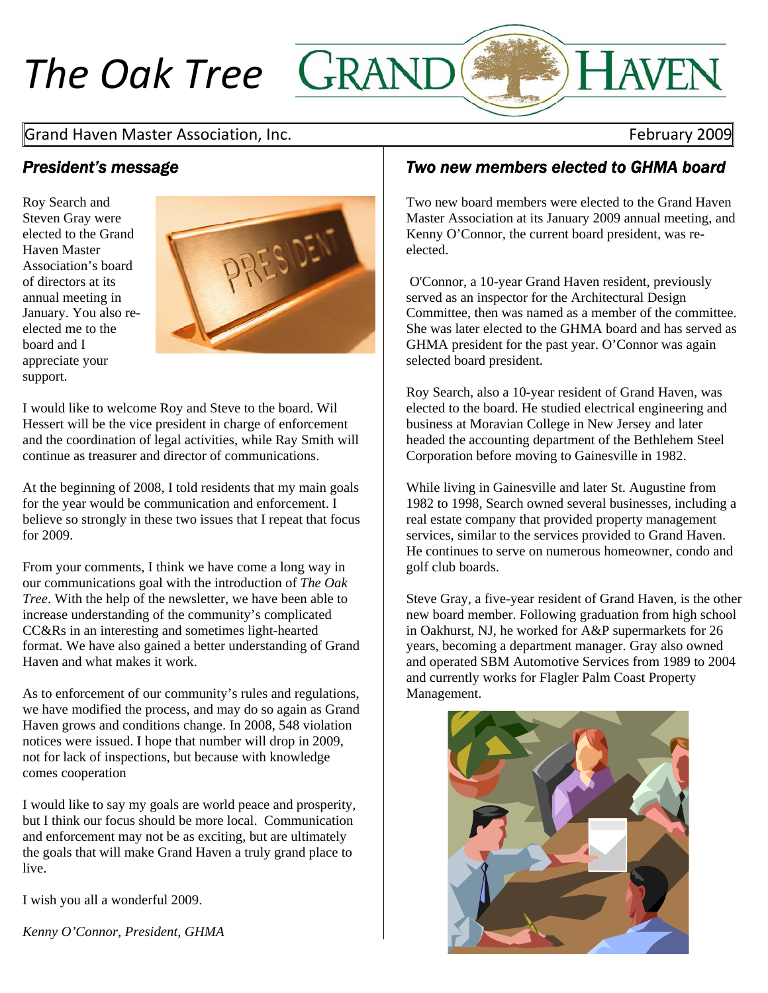# *The Oak Tree*

## Grand Haven Master Association, Inc. **Base 19 and Server 10 and Server 10 and Server 10 and Server 10 and Server**

## *President's message*

Roy Search and Steven Gray were elected to the Grand Haven Master Association's board of directors at its annual meeting in January. You also reelected me to the board and I appreciate your support.



I would like to welcome Roy and Steve to the board. Wil Hessert will be the vice president in charge of enforcement and the coordination of legal activities, while Ray Smith will continue as treasurer and director of communications.

At the beginning of 2008, I told residents that my main goals for the year would be communication and enforcement. I believe so strongly in these two issues that I repeat that focus for 2009.

From your comments, I think we have come a long way in our communications goal with the introduction of *The Oak Tree*. With the help of the newsletter, we have been able to increase understanding of the community's complicated CC&Rs in an interesting and sometimes light-hearted format. We have also gained a better understanding of Grand Haven and what makes it work.

As to enforcement of our community's rules and regulations, we have modified the process, and may do so again as Grand Haven grows and conditions change. In 2008, 548 violation notices were issued. I hope that number will drop in 2009, not for lack of inspections, but because with knowledge comes cooperation

I would like to say my goals are world peace and prosperity, but I think our focus should be more local. Communication and enforcement may not be as exciting, but are ultimately the goals that will make Grand Haven a truly grand place to live.

I wish you all a wonderful 2009.

*Kenny O'Connor, President, GHMA* 

## *Two new members elected to GHMA board*

Two new board members were elected to the Grand Haven Master Association at its January 2009 annual meeting, and Kenny O'Connor, the current board president, was reelected.

 O'Connor, a 10-year Grand Haven resident, previously served as an inspector for the Architectural Design Committee, then was named as a member of the committee. She was later elected to the GHMA board and has served as GHMA president for the past year. O'Connor was again selected board president.

Roy Search, also a 10-year resident of Grand Haven, was elected to the board. He studied electrical engineering and business at Moravian College in New Jersey and later headed the accounting department of the Bethlehem Steel Corporation before moving to Gainesville in 1982.

While living in Gainesville and later St. Augustine from 1982 to 1998, Search owned several businesses, including a real estate company that provided property management services, similar to the services provided to Grand Haven. He continues to serve on numerous homeowner, condo and golf club boards.

Steve Gray, a five-year resident of Grand Haven, is the other new board member. Following graduation from high school in Oakhurst, NJ, he worked for A&P supermarkets for 26 years, becoming a department manager. Gray also owned and operated SBM Automotive Services from 1989 to 2004 and currently works for Flagler Palm Coast Property Management.

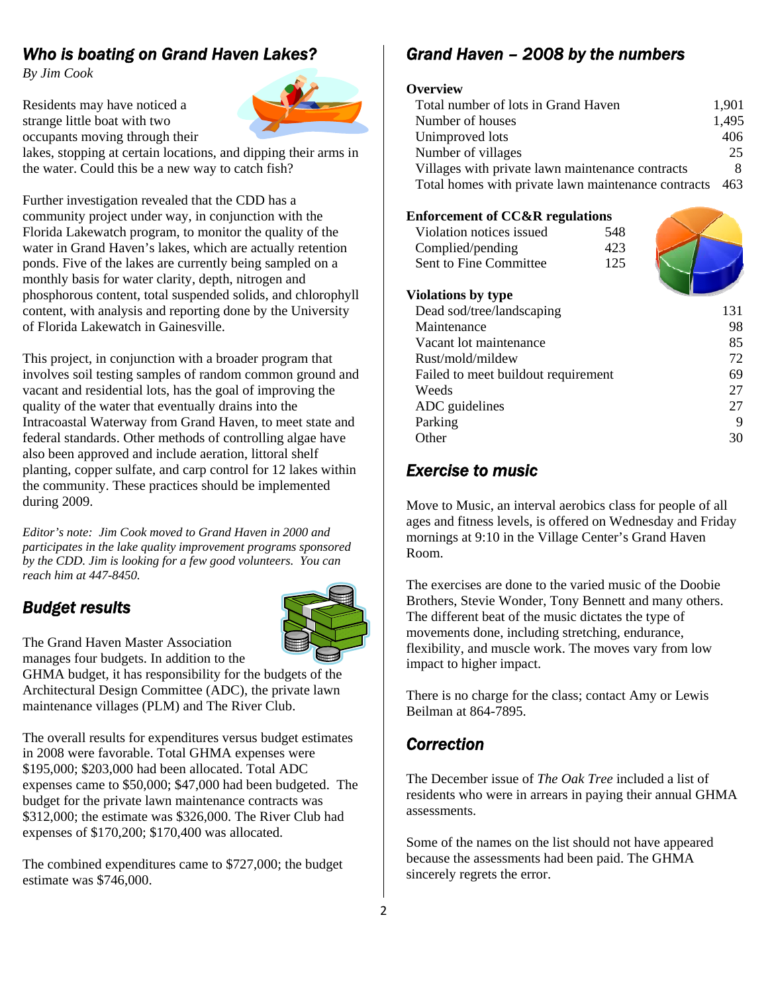# *Who is boating on Grand Haven Lakes?*

*By Jim Cook* 

Residents may have noticed a strange little boat with two occupants moving through their



lakes, stopping at certain locations, and dipping their arms in the water. Could this be a new way to catch fish?

Further investigation revealed that the CDD has a community project under way, in conjunction with the Florida Lakewatch program, to monitor the quality of the water in Grand Haven's lakes, which are actually retention ponds. Five of the lakes are currently being sampled on a monthly basis for water clarity, depth, nitrogen and phosphorous content, total suspended solids, and chlorophyll content, with analysis and reporting done by the University of Florida Lakewatch in Gainesville.

This project, in conjunction with a broader program that involves soil testing samples of random common ground and vacant and residential lots, has the goal of improving the quality of the water that eventually drains into the Intracoastal Waterway from Grand Haven, to meet state and federal standards. Other methods of controlling algae have also been approved and include aeration, littoral shelf planting, copper sulfate, and carp control for 12 lakes within the community. These practices should be implemented during 2009.

*Editor's note: Jim Cook moved to Grand Haven in 2000 and participates in the lake quality improvement programs sponsored by the CDD. Jim is looking for a few good volunteers. You can reach him at 447-8450.*

## *Budget results*



The Grand Haven Master Association manages four budgets. In addition to the

GHMA budget, it has responsibility for the budgets of the Architectural Design Committee (ADC), the private lawn maintenance villages (PLM) and The River Club.

The overall results for expenditures versus budget estimates in 2008 were favorable. Total GHMA expenses were \$195,000; \$203,000 had been allocated. Total ADC expenses came to \$50,000; \$47,000 had been budgeted. The budget for the private lawn maintenance contracts was \$312,000; the estimate was \$326,000. The River Club had expenses of \$170,200; \$170,400 was allocated.

The combined expenditures came to \$727,000; the budget estimate was \$746,000.

# *Grand Haven – 2008 by the numbers*

## **Overview**

| Total number of lots in Grand Haven                 | 1.901 |
|-----------------------------------------------------|-------|
| Number of houses                                    | 1,495 |
| Unimproved lots                                     | 406   |
| Number of villages                                  | 25    |
| Villages with private lawn maintenance contracts    |       |
| Total homes with private lawn maintenance contracts | 463   |

## **Enforcement of CC&R regulations**

| Violation notices issued            | 548 |     |
|-------------------------------------|-----|-----|
| Complied/pending                    | 423 |     |
| Sent to Fine Committee              | 125 |     |
|                                     |     |     |
| Violations by type                  |     |     |
| Dead sod/tree/landscaping           |     | 131 |
| Maintenance                         |     | 98  |
| Vacant lot maintenance              |     | 85  |
| Rust/mold/mildew                    |     | 72  |
| Failed to meet buildout requirement |     | 69  |
| Weeds                               |     | 27  |
| ADC guidelines                      |     | 27  |
| Parking                             |     | 9   |
| Other                               |     | 30  |
|                                     |     |     |

## *Exercise to music*

Move to Music, an interval aerobics class for people of all ages and fitness levels, is offered on Wednesday and Friday mornings at 9:10 in the Village Center's Grand Haven Room.

The exercises are done to the varied music of the Doobie Brothers, Stevie Wonder, Tony Bennett and many others. The different beat of the music dictates the type of movements done, including stretching, endurance, flexibility, and muscle work. The moves vary from low impact to higher impact.

There is no charge for the class; contact Amy or Lewis Beilman at 864-7895.

## *Correction*

The December issue of *The Oak Tree* included a list of residents who were in arrears in paying their annual GHMA assessments.

Some of the names on the list should not have appeared because the assessments had been paid. The GHMA sincerely regrets the error.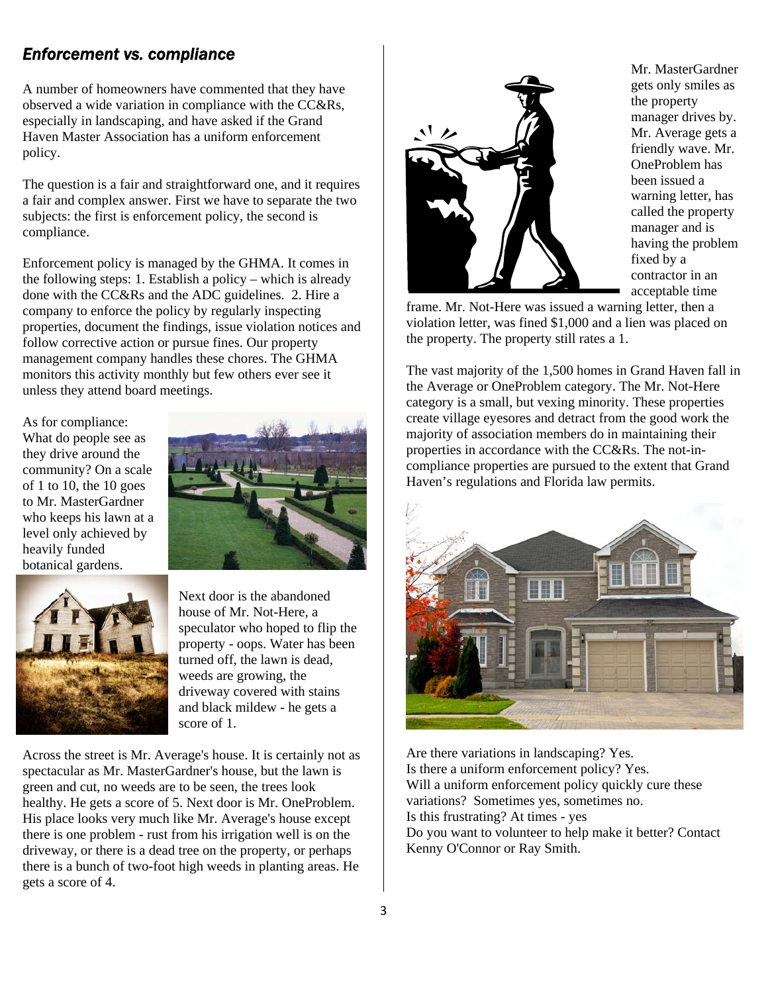## *Enforcement vs. compliance*

A number of homeowners have commented that they have observed a wide variation in compliance with the CC&Rs, especially in landscaping, and have asked if the Grand Haven Master Association has a uniform enforcement policy.

The question is a fair and straightforward one, and it requires a fair and complex answer. First we have to separate the two subjects: the first is enforcement policy, the second is compliance.

Enforcement policy is managed by the GHMA. It comes in the following steps: 1. Establish a policy – which is already done with the CC&Rs and the ADC guidelines. 2. Hire a company to enforce the policy by regularly inspecting properties, document the findings, issue violation notices and follow corrective action or pursue fines. Our property management company handles these chores. The GHMA monitors this activity monthly but few others ever see it unless they attend board meetings.

As for compliance: What do people see as they drive around the community? On a scale of 1 to 10, the 10 goes to Mr. MasterGardner who keeps his lawn at a level only achieved by heavily funded botanical gardens.





Next door is the abandoned house of Mr. Not-Here, a speculator who hoped to flip the property - oops. Water has been turned off, the lawn is dead, weeds are growing, the driveway covered with stains and black mildew - he gets a score of 1.

Across the street is Mr. Average's house. It is certainly not as spectacular as Mr. MasterGardner's house, but the lawn is green and cut, no weeds are to be seen, the trees look healthy. He gets a score of 5. Next door is Mr. OneProblem. His place looks very much like Mr. Average's house except there is one problem - rust from his irrigation well is on the driveway, or there is a dead tree on the property, or perhaps there is a bunch of two-foot high weeds in planting areas. He gets a score of 4.



Mr. MasterGardner gets only smiles as the property manager drives by. Mr. Average gets a friendly wave. Mr. OneProblem has been issued a warning letter, has called the property manager and is having the problem fixed by a contractor in an acceptable time

frame. Mr. Not-Here was issued a warning letter, then a violation letter, was fined \$1,000 and a lien was placed on the property. The property still rates a 1.

The vast majority of the 1,500 homes in Grand Haven fall in the Average or OneProblem category. The Mr. Not-Here category is a small, but vexing minority. These properties create village eyesores and detract from the good work the majority of association members do in maintaining their properties in accordance with the CC&Rs. The not-incompliance properties are pursued to the extent that Grand Haven's regulations and Florida law permits.



Are there variations in landscaping? Yes. Is there a uniform enforcement policy? Yes. Will a uniform enforcement policy quickly cure these variations? Sometimes yes, sometimes no. Is this frustrating? At times - yes Do you want to volunteer to help make it better? Contact Kenny O'Connor or Ray Smith.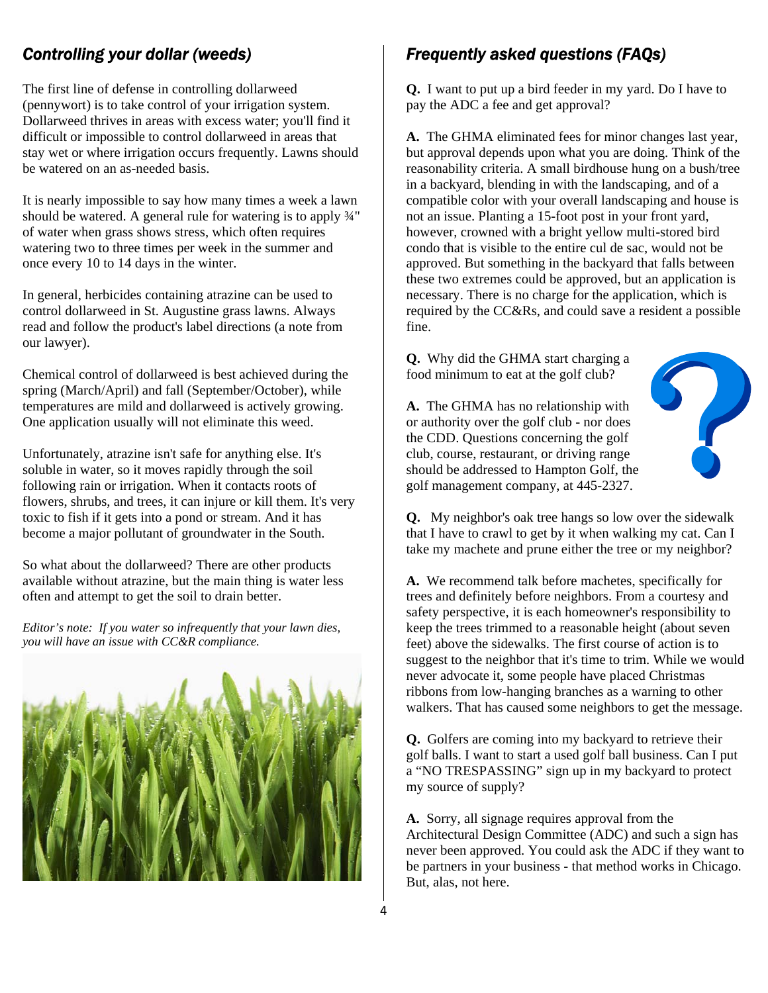# *Controlling your dollar (weeds)*

The first line of defense in controlling dollarweed (pennywort) is to take control of your irrigation system. Dollarweed thrives in areas with excess water; you'll find it difficult or impossible to control dollarweed in areas that stay wet or where irrigation occurs frequently. Lawns should be watered on an as-needed basis.

It is nearly impossible to say how many times a week a lawn should be watered. A general rule for watering is to apply ¾" of water when grass shows stress, which often requires watering two to three times per week in the summer and once every 10 to 14 days in the winter.

In general, herbicides containing atrazine can be used to control dollarweed in St. Augustine grass lawns. Always read and follow the product's label directions (a note from our lawyer).

Chemical control of dollarweed is best achieved during the spring (March/April) and fall (September/October), while temperatures are mild and dollarweed is actively growing. One application usually will not eliminate this weed.

Unfortunately, atrazine isn't safe for anything else. It's soluble in water, so it moves rapidly through the soil following rain or irrigation. When it contacts roots of flowers, shrubs, and trees, it can injure or kill them. It's very toxic to fish if it gets into a pond or stream. And it has become a major pollutant of groundwater in the South.

So what about the dollarweed? There are other products available without atrazine, but the main thing is water less often and attempt to get the soil to drain better.

*Editor's note: If you water so infrequently that your lawn dies, you will have an issue with CC&R compliance.*



# *Frequently asked questions (FAQs)*

**Q.** I want to put up a bird feeder in my yard. Do I have to pay the ADC a fee and get approval?

**A.** The GHMA eliminated fees for minor changes last year, but approval depends upon what you are doing. Think of the reasonability criteria. A small birdhouse hung on a bush/tree in a backyard, blending in with the landscaping, and of a compatible color with your overall landscaping and house is not an issue. Planting a 15-foot post in your front yard, however, crowned with a bright yellow multi-stored bird condo that is visible to the entire cul de sac, would not be approved. But something in the backyard that falls between these two extremes could be approved, but an application is necessary. There is no charge for the application, which is required by the CC&Rs, and could save a resident a possible fine.

**Q.** Why did the GHMA start charging a food minimum to eat at the golf club?

**A.** The GHMA has no relationship with or authority over the golf club - nor does the CDD. Questions concerning the golf club, course, restaurant, or driving range should be addressed to Hampton Golf, the golf management company, at 445-2327.



**Q.** My neighbor's oak tree hangs so low over the sidewalk that I have to crawl to get by it when walking my cat. Can I take my machete and prune either the tree or my neighbor?

**A.** We recommend talk before machetes, specifically for trees and definitely before neighbors. From a courtesy and safety perspective, it is each homeowner's responsibility to keep the trees trimmed to a reasonable height (about seven feet) above the sidewalks. The first course of action is to suggest to the neighbor that it's time to trim. While we would never advocate it, some people have placed Christmas ribbons from low-hanging branches as a warning to other walkers. That has caused some neighbors to get the message.

**Q.** Golfers are coming into my backyard to retrieve their golf balls. I want to start a used golf ball business. Can I put a "NO TRESPASSING" sign up in my backyard to protect my source of supply?

**A.** Sorry, all signage requires approval from the Architectural Design Committee (ADC) and such a sign has never been approved. You could ask the ADC if they want to be partners in your business - that method works in Chicago. But, alas, not here.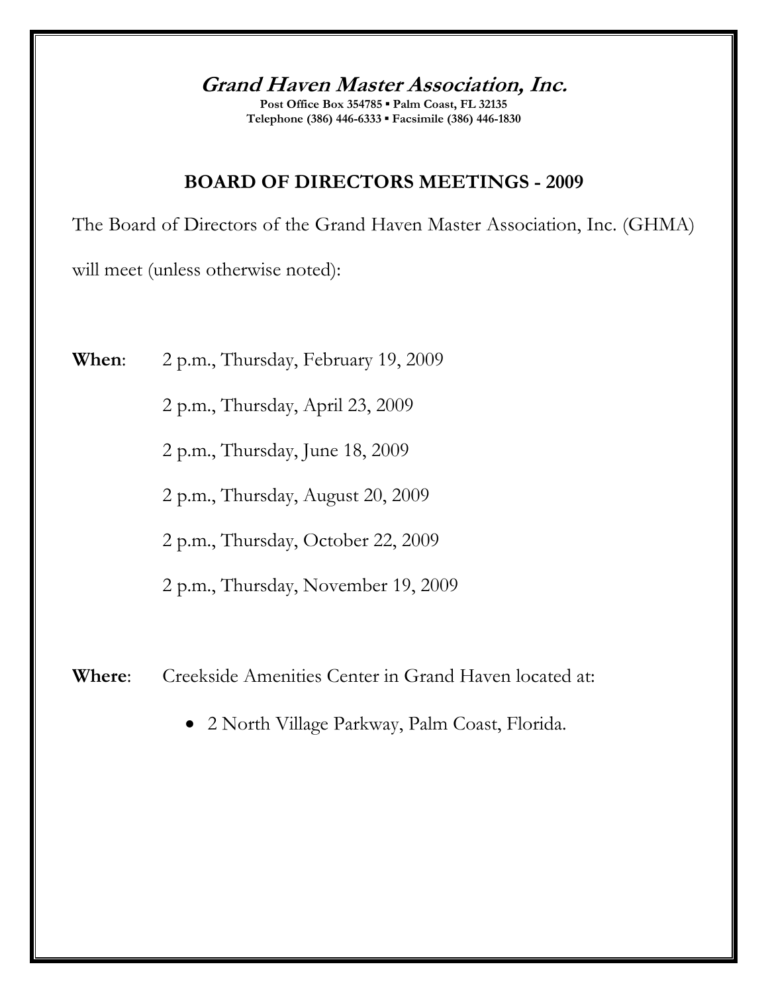**Grand Haven Master Association, Inc.** 

**Post Office Box 354785 ▪ Palm Coast, FL 32135 Telephone (386) 446-6333 ▪ Facsimile (386) 446-1830** 

# **BOARD OF DIRECTORS MEETINGS - 2009**

The Board of Directors of the Grand Haven Master Association, Inc. (GHMA)

will meet (unless otherwise noted):

**When**: 2 p.m., Thursday, February 19, 2009

2 p.m., Thursday, April 23, 2009

2 p.m., Thursday, June 18, 2009

2 p.m., Thursday, August 20, 2009

2 p.m., Thursday, October 22, 2009

2 p.m., Thursday, November 19, 2009

**Where**: Creekside Amenities Center in Grand Haven located at:

• 2 North Village Parkway, Palm Coast, Florida.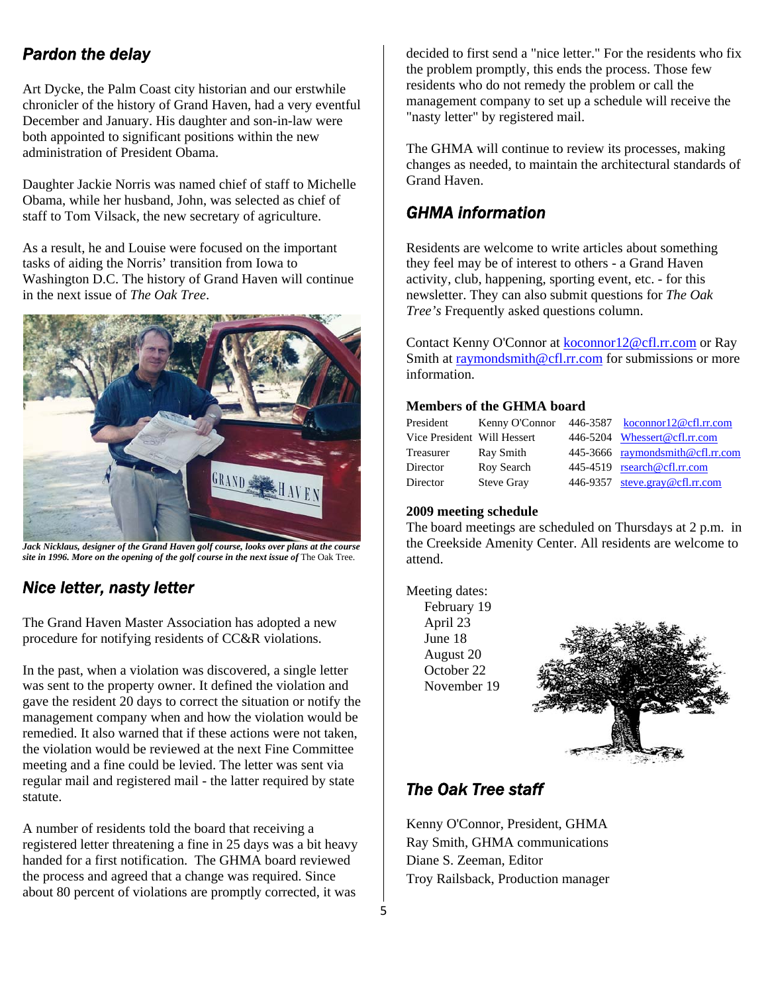## *Pardon the delay*

Art Dycke, the Palm Coast city historian and our erstwhile chronicler of the history of Grand Haven, had a very eventful December and January. His daughter and son-in-law were both appointed to significant positions within the new administration of President Obama.

Daughter Jackie Norris was named chief of staff to Michelle Obama, while her husband, John, was selected as chief of staff to Tom Vilsack, the new secretary of agriculture.

As a result, he and Louise were focused on the important tasks of aiding the Norris' transition from Iowa to Washington D.C. The history of Grand Haven will continue in the next issue of *The Oak Tree*.



*Jack Nicklaus, designer of the Grand Haven golf course, looks over plans at the course site in 1996. More on the opening of the golf course in the next issue of* The Oak Tree*.*

## *Nice letter, nasty letter*

The Grand Haven Master Association has adopted a new procedure for notifying residents of CC&R violations.

In the past, when a violation was discovered, a single letter was sent to the property owner. It defined the violation and gave the resident 20 days to correct the situation or notify the management company when and how the violation would be remedied. It also warned that if these actions were not taken, the violation would be reviewed at the next Fine Committee meeting and a fine could be levied. The letter was sent via regular mail and registered mail - the latter required by state statute.

A number of residents told the board that receiving a registered letter threatening a fine in 25 days was a bit heavy handed for a first notification. The GHMA board reviewed the process and agreed that a change was required. Since about 80 percent of violations are promptly corrected, it was

decided to first send a "nice letter." For the residents who fix the problem promptly, this ends the process. Those few residents who do not remedy the problem or call the management company to set up a schedule will receive the "nasty letter" by registered mail.

The GHMA will continue to review its processes, making changes as needed, to maintain the architectural standards of Grand Haven.

## *GHMA information*

Residents are welcome to write articles about something they feel may be of interest to others - a Grand Haven activity, club, happening, sporting event, etc. - for this newsletter. They can also submit questions for *The Oak Tree's* Frequently asked questions column.

Contact Kenny O'Connor at koconnor12@cfl.rr.com or Ray Smith at raymondsmith@cfl.rr.com for submissions or more information.

## **Members of the GHMA board**

| President                   | Kenny O'Connor    | 446-3587 koconnor12@cfl.rr.com   |
|-----------------------------|-------------------|----------------------------------|
| Vice President Will Hessert |                   | 446-5204 Whessert@cfl.rr.com     |
| Treasurer                   | Ray Smith         | 445-3666 raymondsmith@cfl.rr.com |
| Director                    | Roy Search        | 445-4519 rsearch@cfl.rr.com      |
| Director                    | <b>Steve Gray</b> | 446-9357 steve.gray@cfl.rr.com   |

## **2009 meeting schedule**

The board meetings are scheduled on Thursdays at 2 p.m. in the Creekside Amenity Center. All residents are welcome to attend.

Meeting dates:

February 19 April 23 June 18 August 20 October 22 November 19



## *The Oak Tree staff*

Kenny O'Connor, President, GHMA Ray Smith, GHMA communications Diane S. Zeeman, Editor Troy Railsback, Production manager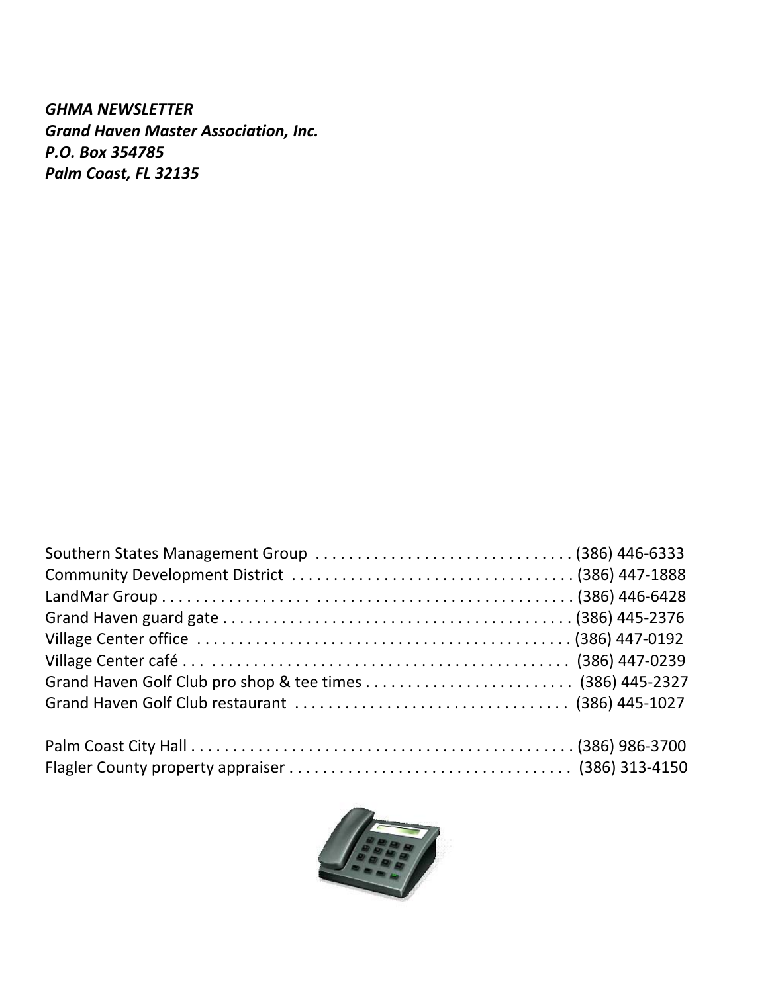*GHMA NEWSLETTER Grand Haven Master Association, Inc. P.O. Box 354785 Palm Coast, FL 32135*